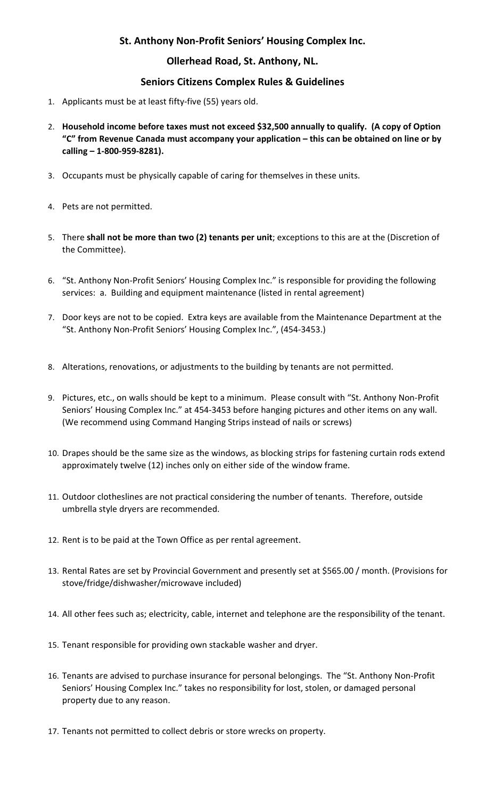## St. Anthony Non-Profit Seniors' Housing Complex Inc.

### Ollerhead Road, St. Anthony, NL.

### Seniors Citizens Complex Rules & Guidelines

- 1. Applicants must be at least fifty-five (55) years old.
- 2. Household income before taxes must not exceed \$32,500 annually to qualify. (A copy of Option "C" from Revenue Canada must accompany your application – this can be obtained on line or by calling – 1-800-959-8281).
- 3. Occupants must be physically capable of caring for themselves in these units.
- 4. Pets are not permitted.
- 5. There shall not be more than two (2) tenants per unit; exceptions to this are at the (Discretion of the Committee).
- 6. "St. Anthony Non-Profit Seniors' Housing Complex Inc." is responsible for providing the following services: a. Building and equipment maintenance (listed in rental agreement)
- 7. Door keys are not to be copied. Extra keys are available from the Maintenance Department at the "St. Anthony Non-Profit Seniors' Housing Complex Inc.", (454-3453.)
- 8. Alterations, renovations, or adjustments to the building by tenants are not permitted.
- 9. Pictures, etc., on walls should be kept to a minimum. Please consult with "St. Anthony Non-Profit Seniors' Housing Complex Inc." at 454-3453 before hanging pictures and other items on any wall. (We recommend using Command Hanging Strips instead of nails or screws)
- 10. Drapes should be the same size as the windows, as blocking strips for fastening curtain rods extend approximately twelve (12) inches only on either side of the window frame.
- 11. Outdoor clotheslines are not practical considering the number of tenants. Therefore, outside umbrella style dryers are recommended.
- 12. Rent is to be paid at the Town Office as per rental agreement.
- 13. Rental Rates are set by Provincial Government and presently set at \$565.00 / month. (Provisions for stove/fridge/dishwasher/microwave included)
- 14. All other fees such as; electricity, cable, internet and telephone are the responsibility of the tenant.
- 15. Tenant responsible for providing own stackable washer and dryer.
- 16. Tenants are advised to purchase insurance for personal belongings. The "St. Anthony Non-Profit Seniors' Housing Complex Inc." takes no responsibility for lost, stolen, or damaged personal property due to any reason.
- 17. Tenants not permitted to collect debris or store wrecks on property.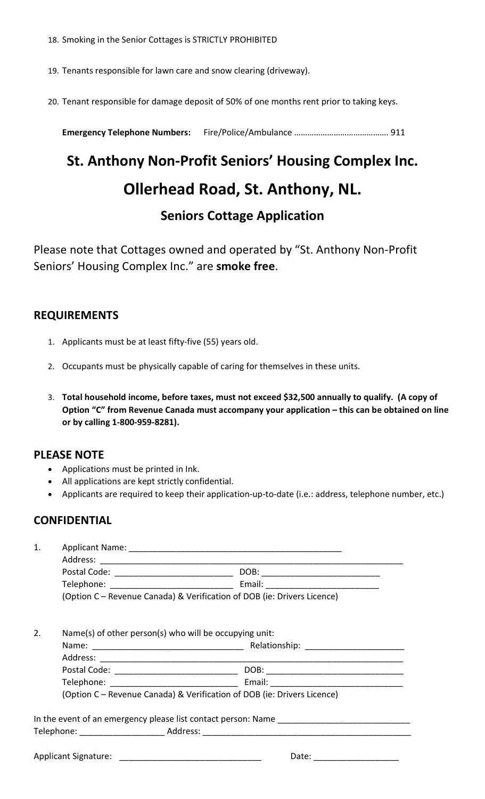18. Smoking in the Senior Cottages is STRICTLY PROHIBITED

19. Tenants responsible for lawn care and snow clearing (driveway).

20. Tenant responsible for damage deposit of 50% of one months rent prior to taking keys.

Emergency Telephone Numbers: Fire/Police/Ambulance ……………………………………. 911

# St. Anthony Non-Profit Seniors' Housing Complex Inc. Ollerhead Road, St. Anthony, NL. Seniors Cottage Application

Please note that Cottages owned and operated by "St. Anthony Non-Profit Seniors' Housing Complex Inc." are smoke free.

## REQUIREMENTS

- 1. Applicants must be at least fifty-five (55) years old.
- 2. Occupants must be physically capable of caring for themselves in these units.
- 3. Total household income, before taxes, must not exceed \$32,500 annually to qualify. (A copy of Option "C" from Revenue Canada must accompany your application – this can be obtained on line or by calling 1-800-959-8281).

#### PLEASE NOTE

- Applications must be printed in Ink.
- All applications are kept strictly confidential.
- Applicants are required to keep their application-up-to-date (i.e.: address, telephone number, etc.)

## **CONFIDENTIAL**

| 1. |                                                                         |                                                |  |
|----|-------------------------------------------------------------------------|------------------------------------------------|--|
|    |                                                                         |                                                |  |
|    |                                                                         | Postal Code: _________________________________ |  |
|    |                                                                         |                                                |  |
|    | (Option C - Revenue Canada) & Verification of DOB (ie: Drivers Licence) |                                                |  |
| 2. | Name(s) of other person(s) who will be occupying unit:                  |                                                |  |
|    |                                                                         |                                                |  |
|    |                                                                         |                                                |  |
|    |                                                                         |                                                |  |
|    |                                                                         |                                                |  |
|    | (Option C - Revenue Canada) & Verification of DOB (ie: Drivers Licence) |                                                |  |
|    |                                                                         |                                                |  |
|    |                                                                         |                                                |  |
|    |                                                                         | Date:                                          |  |